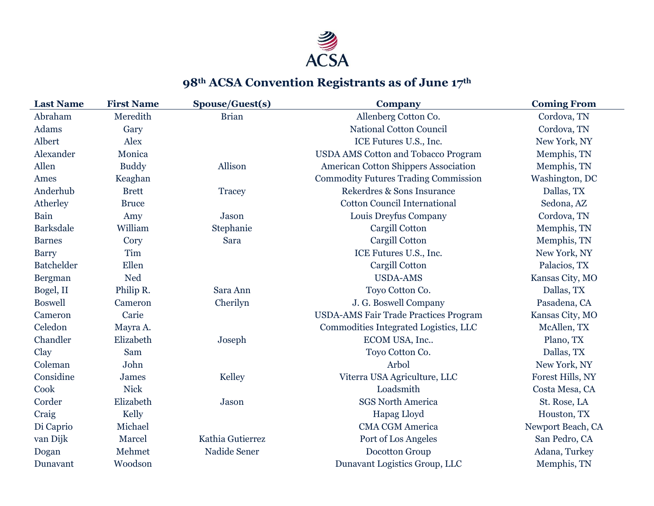

## **98th ACSA Convention Registrants as of June 17th**

| <b>Last Name</b>  | <b>First Name</b> | Spouse/Guest(s)  | <b>Company</b>                               | <b>Coming From</b> |
|-------------------|-------------------|------------------|----------------------------------------------|--------------------|
| Abraham           | Meredith          | <b>Brian</b>     | Allenberg Cotton Co.                         | Cordova, TN        |
| Adams             | Gary              |                  | <b>National Cotton Council</b>               | Cordova, TN        |
| Albert            | Alex              |                  | ICE Futures U.S., Inc.                       | New York, NY       |
| Alexander         | Monica            |                  | <b>USDA AMS Cotton and Tobacco Program</b>   | Memphis, TN        |
| Allen             | <b>Buddy</b>      | Allison          | <b>American Cotton Shippers Association</b>  | Memphis, TN        |
| Ames              | Keaghan           |                  | <b>Commodity Futures Trading Commission</b>  | Washington, DC     |
| Anderhub          | <b>Brett</b>      | Tracey           | Rekerdres & Sons Insurance                   | Dallas, TX         |
| Atherley          | <b>Bruce</b>      |                  | <b>Cotton Council International</b>          | Sedona, AZ         |
| Bain              | Amy               | Jason            | Louis Dreyfus Company                        | Cordova, TN        |
| <b>Barksdale</b>  | William           | Stephanie        | Cargill Cotton                               | Memphis, TN        |
| <b>Barnes</b>     | Cory              | Sara             | Cargill Cotton                               | Memphis, TN        |
| <b>Barry</b>      | Tim               |                  | ICE Futures U.S., Inc.                       | New York, NY       |
| <b>Batchelder</b> | Ellen             |                  | Cargill Cotton                               | Palacios, TX       |
| Bergman           | <b>Ned</b>        |                  | <b>USDA-AMS</b>                              | Kansas City, MO    |
| Bogel, II         | Philip R.         | Sara Ann         | Toyo Cotton Co.                              | Dallas, TX         |
| <b>Boswell</b>    | Cameron           | Cherilyn         | J. G. Boswell Company                        | Pasadena, CA       |
| Cameron           | Carie             |                  | <b>USDA-AMS Fair Trade Practices Program</b> | Kansas City, MO    |
| Celedon           | Mayra A.          |                  | Commodities Integrated Logistics, LLC        | McAllen, TX        |
| Chandler          | Elizabeth         | Joseph           | ECOM USA, Inc                                | Plano, TX          |
| Clay              | Sam               |                  | Toyo Cotton Co.                              | Dallas, TX         |
| Coleman           | John              |                  | Arbol                                        | New York, NY       |
| Considine         | <b>James</b>      | Kelley           | Viterra USA Agriculture, LLC                 | Forest Hills, NY   |
| Cook              | <b>Nick</b>       |                  | Loadsmith                                    | Costa Mesa, CA     |
| Corder            | Elizabeth         | Jason            | <b>SGS North America</b>                     | St. Rose, LA       |
| Craig             | Kelly             |                  | Hapag Lloyd                                  | Houston, TX        |
| Di Caprio         | Michael           |                  | <b>CMA CGM America</b>                       | Newport Beach, CA  |
| van Dijk          | Marcel            | Kathia Gutierrez | Port of Los Angeles                          | San Pedro, CA      |
| Dogan             | Mehmet            | Nadide Sener     | Docotton Group                               | Adana, Turkey      |
| Dunavant          | Woodson           |                  | Dunavant Logistics Group, LLC                | Memphis, TN        |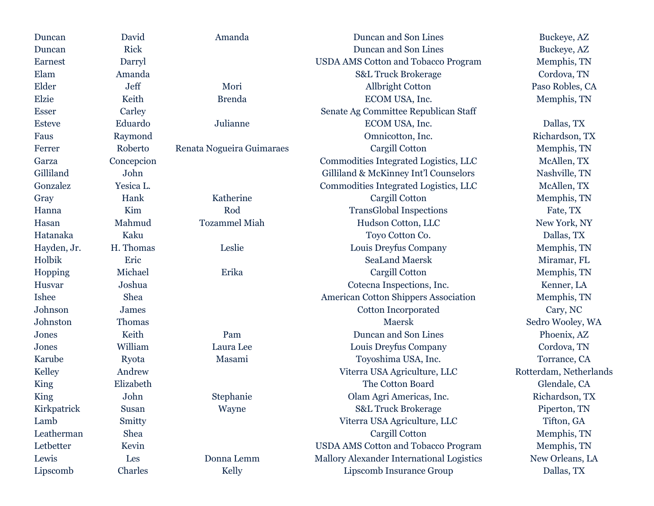| Duncan        | David        | Amanda                    | Duncan and Son Lines                        | Buckeye, AZ            |
|---------------|--------------|---------------------------|---------------------------------------------|------------------------|
| Duncan        | <b>Rick</b>  |                           | Duncan and Son Lines                        | Buckeye, AZ            |
| Earnest       | Darryl       |                           | <b>USDA AMS Cotton and Tobacco Program</b>  | Memphis, TN            |
| Elam          | Amanda       |                           | <b>S&amp;L Truck Brokerage</b>              | Cordova, TN            |
| Elder         | Jeff         | Mori                      | <b>Allbright Cotton</b>                     | Paso Robles, CA        |
| <b>Elzie</b>  | Keith        | <b>Brenda</b>             | ECOM USA, Inc.                              | Memphis, TN            |
| <b>Esser</b>  | Carley       |                           | Senate Ag Committee Republican Staff        |                        |
| <b>Esteve</b> | Eduardo      | Julianne                  | ECOM USA, Inc.                              | Dallas, TX             |
| Faus          | Raymond      |                           | Omnicotton, Inc.                            | Richardson, TX         |
| Ferrer        | Roberto      | Renata Nogueira Guimaraes | Cargill Cotton                              | Memphis, TN            |
| Garza         | Concepcion   |                           | Commodities Integrated Logistics, LLC       | McAllen, TX            |
| Gilliland     | John         |                           | Gilliland & McKinney Int'l Counselors       | Nashville, TN          |
| Gonzalez      | Yesica L.    |                           | Commodities Integrated Logistics, LLC       | McAllen, TX            |
| Gray          | Hank         | Katherine                 | Cargill Cotton                              | Memphis, TN            |
| Hanna         | Kim          | Rod                       | <b>TransGlobal Inspections</b>              | Fate, TX               |
| Hasan         | Mahmud       | <b>Tozammel Miah</b>      | Hudson Cotton, LLC                          | New York, NY           |
| Hatanaka      | Kaku         |                           | Toyo Cotton Co.                             | Dallas, TX             |
| Hayden, Jr.   | H. Thomas    | Leslie                    | Louis Dreyfus Company                       | Memphis, TN            |
| Holbik        | Eric         |                           | <b>SeaLand Maersk</b>                       | Miramar, FL            |
| Hopping       | Michael      | Erika                     | Cargill Cotton                              | Memphis, TN            |
| Husvar        | Joshua       |                           | Cotecna Inspections, Inc.                   | Kenner, LA             |
| <b>Ishee</b>  | Shea         |                           | <b>American Cotton Shippers Association</b> | Memphis, TN            |
| Johnson       | <b>James</b> |                           | <b>Cotton Incorporated</b>                  | Cary, NC               |
| Johnston      | Thomas       |                           | Maersk                                      | Sedro Wooley, WA       |
| Jones         | Keith        | Pam                       | Duncan and Son Lines                        | Phoenix, AZ            |
| Jones         | William      | Laura Lee                 | Louis Dreyfus Company                       | Cordova, TN            |
| Karube        | Ryota        | Masami                    | Toyoshima USA, Inc.                         | Torrance, CA           |
| Kelley        | Andrew       |                           | Viterra USA Agriculture, LLC                | Rotterdam, Netherlands |
| King          | Elizabeth    |                           | The Cotton Board                            | Glendale, CA           |
| King          | John         | Stephanie                 | Olam Agri Americas, Inc.                    | Richardson, TX         |
| Kirkpatrick   | Susan        | Wayne                     | <b>S&amp;L Truck Brokerage</b>              | Piperton, TN           |
| Lamb          | Smitty       |                           | Viterra USA Agriculture, LLC                | Tifton, GA             |
| Leatherman    | Shea         |                           | Cargill Cotton                              | Memphis, TN            |
| Letbetter     | Kevin        |                           | <b>USDA AMS Cotton and Tobacco Program</b>  | Memphis, TN            |
| Lewis         | Les          | Donna Lemm                | Mallory Alexander International Logistics   | New Orleans, LA        |
| Lipscomb      | Charles      | Kelly                     | Lipscomb Insurance Group                    | Dallas, TX             |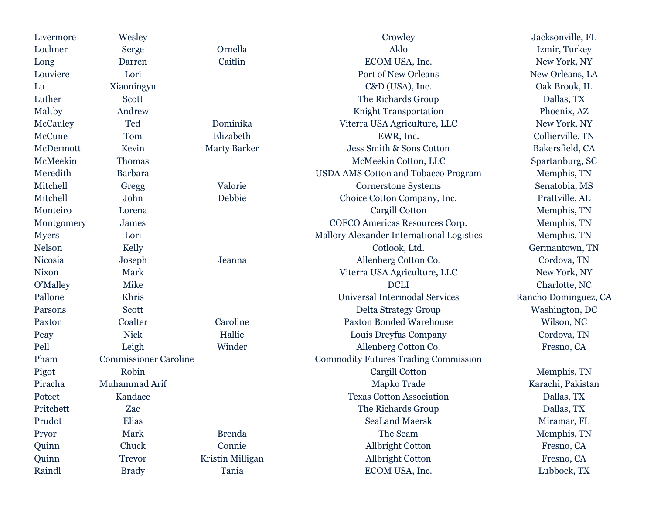| Livermore      | Wesley                       |                     | Crowley                                     | Jacksonville, FL     |
|----------------|------------------------------|---------------------|---------------------------------------------|----------------------|
| Lochner        | Serge                        | Ornella             | Aklo                                        | Izmir, Turkey        |
| Long           | Darren                       | Caitlin             | ECOM USA, Inc.                              | New York, NY         |
| Louviere       | Lori                         |                     | Port of New Orleans                         | New Orleans, LA      |
| Lu             | Xiaoningyu                   |                     | C&D (USA), Inc.                             | Oak Brook, IL        |
| Luther         | Scott                        |                     | The Richards Group                          | Dallas, TX           |
| Maltby         | Andrew                       |                     | <b>Knight Transportation</b>                | Phoenix, AZ          |
| McCauley       | Ted                          | Dominika            | Viterra USA Agriculture, LLC                | New York, NY         |
| McCune         | Tom                          | Elizabeth           | EWR, Inc.                                   | Collierville, TN     |
| McDermott      | Kevin                        | <b>Marty Barker</b> | Jess Smith & Sons Cotton                    | Bakersfield, CA      |
| McMeekin       | Thomas                       |                     | McMeekin Cotton, LLC                        | Spartanburg, SC      |
| Meredith       | <b>Barbara</b>               |                     | <b>USDA AMS Cotton and Tobacco Program</b>  | Memphis, TN          |
| Mitchell       | Gregg                        | Valorie             | <b>Cornerstone Systems</b>                  | Senatobia, MS        |
| Mitchell       | John                         | Debbie              | Choice Cotton Company, Inc.                 | Prattville, AL       |
| Monteiro       | Lorena                       |                     | Cargill Cotton                              | Memphis, TN          |
| Montgomery     | <b>James</b>                 |                     | COFCO Americas Resources Corp.              | Memphis, TN          |
| <b>Myers</b>   | Lori                         |                     | Mallory Alexander International Logistics   | Memphis, TN          |
| Nelson         | Kelly                        |                     | Cotlook, Ltd.                               | Germantown, TN       |
| <b>Nicosia</b> | Joseph                       | Jeanna              | Allenberg Cotton Co.                        | Cordova, TN          |
| <b>Nixon</b>   | Mark                         |                     | Viterra USA Agriculture, LLC                | New York, NY         |
| O'Malley       | Mike                         |                     | <b>DCLI</b>                                 | Charlotte, NC        |
| Pallone        | Khris                        |                     | Universal Intermodal Services               | Rancho Dominguez, CA |
| Parsons        | Scott                        |                     | Delta Strategy Group                        | Washington, DC       |
| Paxton         | Coalter                      | Caroline            | <b>Paxton Bonded Warehouse</b>              | Wilson, NC           |
| Peay           | <b>Nick</b>                  | Hallie              | Louis Dreyfus Company                       | Cordova, TN          |
| Pell           | Leigh                        | Winder              | Allenberg Cotton Co.                        | Fresno, CA           |
| Pham           | <b>Commissioner Caroline</b> |                     | <b>Commodity Futures Trading Commission</b> |                      |
| Pigot          | Robin                        |                     | Cargill Cotton                              | Memphis, TN          |
| Piracha        | Muhammad Arif                |                     | Mapko Trade                                 | Karachi, Pakistan    |
| Poteet         | Kandace                      |                     | <b>Texas Cotton Association</b>             | Dallas, TX           |
| Pritchett      | Zac                          |                     | The Richards Group                          | Dallas, TX           |
| Prudot         | Elias                        |                     | <b>SeaLand Maersk</b>                       | Miramar, FL          |
| Pryor          | Mark                         | <b>Brenda</b>       | The Seam                                    | Memphis, TN          |
| Quinn          | Chuck                        | Connie              | <b>Allbright Cotton</b>                     | Fresno, CA           |
| Quinn          | <b>Trevor</b>                | Kristin Milligan    | <b>Allbright Cotton</b>                     | Fresno, CA           |
| Raindl         | <b>Brady</b>                 | Tania               | ECOM USA, Inc.                              | Lubbock, TX          |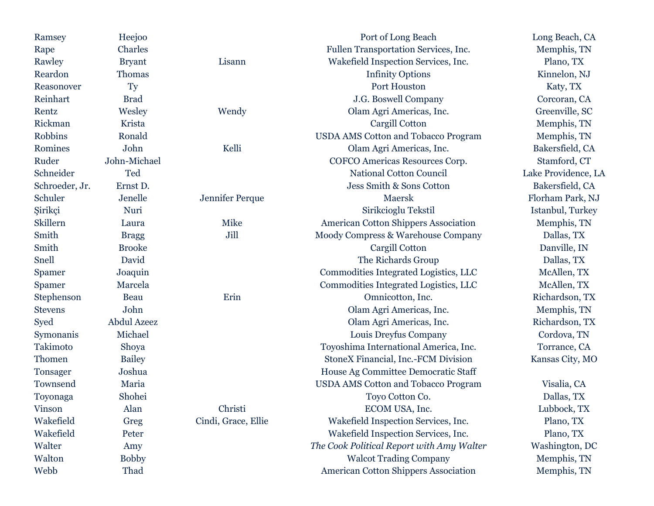| Ramsey         | Heejoo             |                     | Port of Long Beach                          | Long Beach, CA      |
|----------------|--------------------|---------------------|---------------------------------------------|---------------------|
| Rape           | Charles            |                     | Fullen Transportation Services, Inc.        | Memphis, TN         |
| Rawley         | <b>Bryant</b>      | Lisann              | Wakefield Inspection Services, Inc.         | Plano, TX           |
| Reardon        | Thomas             |                     | <b>Infinity Options</b>                     | Kinnelon, NJ        |
| Reasonover     | Ty                 |                     | Port Houston                                | Katy, TX            |
| Reinhart       | <b>Brad</b>        |                     | J.G. Boswell Company                        | Corcoran, CA        |
| Rentz          | Wesley             | Wendy               | Olam Agri Americas, Inc.                    | Greenville, SC      |
| Rickman        | Krista             |                     | Cargill Cotton                              | Memphis, TN         |
| <b>Robbins</b> | Ronald             |                     | <b>USDA AMS Cotton and Tobacco Program</b>  | Memphis, TN         |
| Romines        | John               | Kelli               | Olam Agri Americas, Inc.                    | Bakersfield, CA     |
| Ruder          | John-Michael       |                     | COFCO Americas Resources Corp.              | Stamford, CT        |
| Schneider      | Ted                |                     | <b>National Cotton Council</b>              | Lake Providence, LA |
| Schroeder, Jr. | Ernst D.           |                     | Jess Smith & Sons Cotton                    | Bakersfield, CA     |
| Schuler        | ${\it Jenelle}$    | Jennifer Perque     | Maersk                                      | Florham Park, NJ    |
| Şirikçi        | Nuri               |                     | Sirikcioglu Tekstil                         | Istanbul, Turkey    |
| Skillern       | Laura              | Mike                | <b>American Cotton Shippers Association</b> | Memphis, TN         |
| Smith          | <b>Bragg</b>       | Jill                | Moody Compress & Warehouse Company          | Dallas, TX          |
| Smith          | <b>Brooke</b>      |                     | Cargill Cotton                              | Danville, IN        |
| Snell          | David              |                     | The Richards Group                          | Dallas, TX          |
| Spamer         | Joaquin            |                     | Commodities Integrated Logistics, LLC       | McAllen, TX         |
| Spamer         | Marcela            |                     | Commodities Integrated Logistics, LLC       | McAllen, TX         |
| Stephenson     | Beau               | Erin                | Omnicotton, Inc.                            | Richardson, TX      |
| <b>Stevens</b> | John               |                     | Olam Agri Americas, Inc.                    | Memphis, TN         |
| Syed           | <b>Abdul Azeez</b> |                     | Olam Agri Americas, Inc.                    | Richardson, TX      |
| Symonanis      | Michael            |                     | Louis Dreyfus Company                       | Cordova, TN         |
| Takimoto       | Shoya              |                     | Toyoshima International America, Inc.       | Torrance, CA        |
| Thomen         | <b>Bailey</b>      |                     | StoneX Financial, Inc.-FCM Division         | Kansas City, MO     |
| Tonsager       | Joshua             |                     | House Ag Committee Democratic Staff         |                     |
| Townsend       | Maria              |                     | <b>USDA AMS Cotton and Tobacco Program</b>  | Visalia, CA         |
| Toyonaga       | Shohei             |                     | Toyo Cotton Co.                             | Dallas, TX          |
| Vinson         | Alan               | Christi             | ECOM USA, Inc.                              | Lubbock, TX         |
| Wakefield      | Greg               | Cindi, Grace, Ellie | Wakefield Inspection Services, Inc.         | Plano, TX           |
| Wakefield      | Peter              |                     | Wakefield Inspection Services, Inc.         | Plano, TX           |
| Walter         | Amy                |                     | The Cook Political Report with Amy Walter   | Washington, DC      |
| Walton         | <b>Bobby</b>       |                     | <b>Walcot Trading Company</b>               | Memphis, TN         |
| Webb           | Thad               |                     | <b>American Cotton Shippers Association</b> | Memphis, TN         |